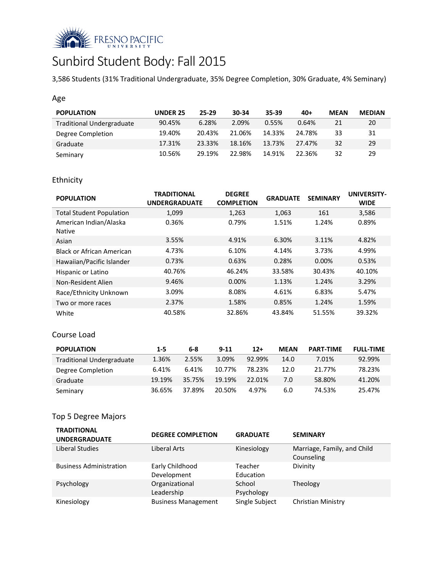

# Sunbird Student Body: Fall 2015

3,586 Students (31% Traditional Undergraduate, 35% Degree Completion, 30% Graduate, 4% Seminary)

#### Age

| <b>POPULATION</b>                | UNDER 25 | $25-29$ | 30-34  | 35-39  | $40+$  | <b>MEAN</b> | <b>MEDIAN</b> |
|----------------------------------|----------|---------|--------|--------|--------|-------------|---------------|
| <b>Traditional Undergraduate</b> | 90.45%   | 6.28%   | 2.09%  | 0.55%  | 0.64%  | 21          | 20            |
| Degree Completion                | 19.40%   | 20.43%  | 21.06% | 14.33% | 24.78% | 33          | 31            |
| Graduate                         | 17.31%   | 23.33%  | 18.16% | 13.73% | 27.47% | 32          | 29            |
| Seminary                         | 10.56%   | 29.19%  | 22.98% | 14.91% | 22.36% | 32          | 29            |

## Ethnicity

| <b>POPULATION</b>                       | <b>TRADITIONAL</b><br><b>UNDERGRADUATE</b> | <b>DEGREE</b><br><b>COMPLETION</b> | <b>GRADUATE</b> | <b>SEMINARY</b> | <b>UNIVERSITY-</b><br><b>WIDE</b> |
|-----------------------------------------|--------------------------------------------|------------------------------------|-----------------|-----------------|-----------------------------------|
| <b>Total Student Population</b>         | 1,099                                      | 1,263                              | 1,063           | 161             | 3,586                             |
| American Indian/Alaska<br><b>Native</b> | 0.36%                                      | 0.79%                              | 1.51%           | 1.24%           | 0.89%                             |
| Asian                                   | 3.55%                                      | 4.91%                              | 6.30%           | 3.11%           | 4.82%                             |
| Black or African American               | 4.73%                                      | 6.10%                              | 4.14%           | 3.73%           | 4.99%                             |
| Hawaiian/Pacific Islander               | 0.73%                                      | 0.63%                              | 0.28%           | $0.00\%$        | 0.53%                             |
| Hispanic or Latino                      | 40.76%                                     | 46.24%                             | 33.58%          | 30.43%          | 40.10%                            |
| Non-Resident Alien                      | 9.46%                                      | $0.00\%$                           | 1.13%           | 1.24%           | 3.29%                             |
| Race/Ethnicity Unknown                  | 3.09%                                      | 8.08%                              | 4.61%           | 6.83%           | 5.47%                             |
| Two or more races                       | 2.37%                                      | 1.58%                              | 0.85%           | 1.24%           | 1.59%                             |
| White                                   | 40.58%                                     | 32.86%                             | 43.84%          | 51.55%          | 39.32%                            |

#### Course Load

| <b>POPULATION</b>                | $1 - 5$ | 6-8    | $9 - 11$ | $12+$  | <b>MEAN</b> | <b>PART-TIME</b> | <b>FULL-TIME</b> |
|----------------------------------|---------|--------|----------|--------|-------------|------------------|------------------|
| <b>Traditional Undergraduate</b> | 1.36%   | 2.55%  | 3.09%    | 92.99% | 14.0        | 7.01%            | 92.99%           |
| Degree Completion                | 6.41%   | 6.41%  | 10.77%   | 78.23% | 12.0        | 21.77%           | 78.23%           |
| Graduate                         | 19.19%  | 35.75% | 19.19%   | 22.01% | 7.0         | 58.80%           | 41.20%           |
| Seminary                         | 36.65%  | 37.89% | 20.50%   | 4.97%  | 6.0         | 74.53%           | 25.47%           |

## Top 5 Degree Majors

| <b>TRADITIONAL</b><br><b>UNDERGRADUATE</b> | <b>DEGREE COMPLETION</b>       | <b>GRADUATE</b>      | <b>SEMINARY</b>                           |
|--------------------------------------------|--------------------------------|----------------------|-------------------------------------------|
| Liberal Studies                            | Liberal Arts                   | Kinesiology          | Marriage, Family, and Child<br>Counseling |
| <b>Business Administration</b>             | Early Childhood<br>Development | Teacher<br>Education | Divinity                                  |
| Psychology                                 | Organizational<br>Leadership   | School<br>Psychology | Theology                                  |
| Kinesiology                                | <b>Business Management</b>     | Single Subject       | Christian Ministry                        |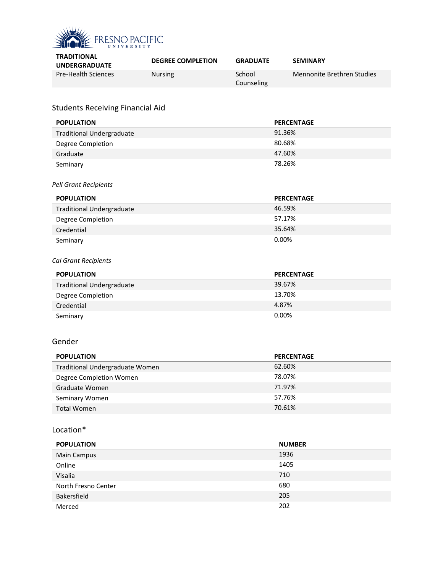

| <b>TRADITIONAL</b>         | <b>DEGREE COMPLETION</b> | <b>GRADUATE</b> | <b>SEMINARY</b>            |
|----------------------------|--------------------------|-----------------|----------------------------|
| <b>UNDERGRADUATE</b>       |                          |                 |                            |
| <b>Pre-Health Sciences</b> | <b>Nursing</b>           | School          | Mennonite Brethren Studies |
|                            |                          | Counseling      |                            |

## Students Receiving Financial Aid

| <b>POPULATION</b>                | <b>PERCENTAGE</b> |
|----------------------------------|-------------------|
| <b>Traditional Undergraduate</b> | 91.36%            |
| Degree Completion                | 80.68%            |
| Graduate                         | 47.60%            |
| Seminary                         | 78.26%            |
| <b>Pell Grant Recipients</b>     |                   |
| <b>POPULATION</b>                | <b>PERCENTAGE</b> |
| <b>Traditional Undergraduate</b> | 46.59%            |
| Degree Completion                | 57.17%            |
| Credential                       | 35.64%            |
| Seminary                         | 0.00%             |
| Cal Grant Recipients             |                   |
| <b>POPULATION</b>                | <b>PERCENTAGE</b> |
| <b>Traditional Undergraduate</b> | 39.67%            |
| Degree Completion                | 13.70%            |
| Credential                       | 4.87%             |
| Seminary                         | 0.00%             |
| Gender                           |                   |
| <b>POPULATION</b>                | <b>PERCENTAGE</b> |

| <b>FUFULATIUN</b>               | <b>FLIVLLIVIAUL</b> |
|---------------------------------|---------------------|
| Traditional Undergraduate Women | 62.60%              |
| Degree Completion Women         | 78.07%              |
| Graduate Women                  | 71.97%              |
| Seminary Women                  | 57.76%              |
| Total Women                     | 70.61%              |

#### Location\*

| <b>POPULATION</b>   | <b>NUMBER</b> |
|---------------------|---------------|
| <b>Main Campus</b>  | 1936          |
| Online              | 1405          |
| Visalia             | 710           |
| North Fresno Center | 680           |
| Bakersfield         | 205           |
| Merced              | 202           |